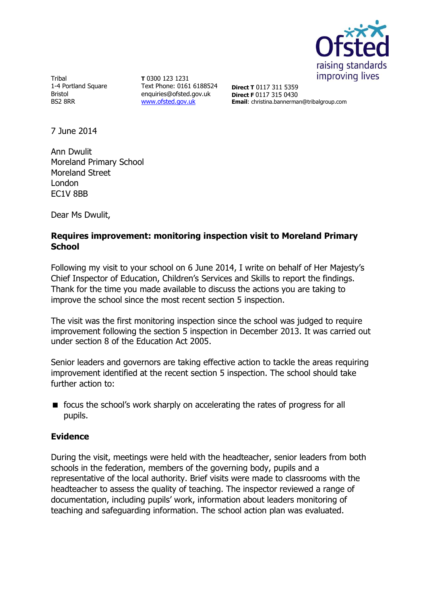

Tribal 1-4 Portland Square Bristol BS2 8RR

**T** 0300 123 1231 Text Phone: 0161 6188524 enquiries@ofsted.gov.uk [www.ofsted.gov.uk](http://www.ofsted.gov.uk/)

**Direct T** 0117 311 5359 **Direct F** 0117 315 0430 **Email**: christina.bannerman@tribalgroup.com

7 June 2014

Ann Dwulit Moreland Primary School Moreland Street London EC1V 8BB

Dear Ms Dwulit,

# **Requires improvement: monitoring inspection visit to Moreland Primary School**

Following my visit to your school on 6 June 2014, I write on behalf of Her Majesty's Chief Inspector of Education, Children's Services and Skills to report the findings. Thank for the time you made available to discuss the actions you are taking to improve the school since the most recent section 5 inspection.

The visit was the first monitoring inspection since the school was judged to require improvement following the section 5 inspection in December 2013. It was carried out under section 8 of the Education Act 2005.

Senior leaders and governors are taking effective action to tackle the areas requiring improvement identified at the recent section 5 inspection. The school should take further action to:

**f** focus the school's work sharply on accelerating the rates of progress for all pupils.

### **Evidence**

During the visit, meetings were held with the headteacher, senior leaders from both schools in the federation, members of the governing body, pupils and a representative of the local authority. Brief visits were made to classrooms with the headteacher to assess the quality of teaching. The inspector reviewed a range of documentation, including pupils' work, information about leaders monitoring of teaching and safeguarding information. The school action plan was evaluated.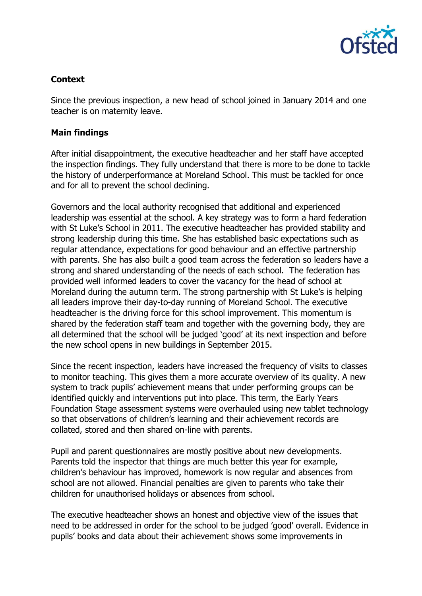

# **Context**

Since the previous inspection, a new head of school joined in January 2014 and one teacher is on maternity leave.

### **Main findings**

After initial disappointment, the executive headteacher and her staff have accepted the inspection findings. They fully understand that there is more to be done to tackle the history of underperformance at Moreland School. This must be tackled for once and for all to prevent the school declining.

Governors and the local authority recognised that additional and experienced leadership was essential at the school. A key strategy was to form a hard federation with St Luke's School in 2011. The executive headteacher has provided stability and strong leadership during this time. She has established basic expectations such as regular attendance, expectations for good behaviour and an effective partnership with parents. She has also built a good team across the federation so leaders have a strong and shared understanding of the needs of each school. The federation has provided well informed leaders to cover the vacancy for the head of school at Moreland during the autumn term. The strong partnership with St Luke's is helping all leaders improve their day-to-day running of Moreland School. The executive headteacher is the driving force for this school improvement. This momentum is shared by the federation staff team and together with the governing body, they are all determined that the school will be judged 'good' at its next inspection and before the new school opens in new buildings in September 2015.

Since the recent inspection, leaders have increased the frequency of visits to classes to monitor teaching. This gives them a more accurate overview of its quality. A new system to track pupils' achievement means that under performing groups can be identified quickly and interventions put into place. This term, the Early Years Foundation Stage assessment systems were overhauled using new tablet technology so that observations of children's learning and their achievement records are collated, stored and then shared on-line with parents.

Pupil and parent questionnaires are mostly positive about new developments. Parents told the inspector that things are much better this year for example, children's behaviour has improved, homework is now regular and absences from school are not allowed. Financial penalties are given to parents who take their children for unauthorised holidays or absences from school.

The executive headteacher shows an honest and objective view of the issues that need to be addressed in order for the school to be judged 'good' overall. Evidence in pupils' books and data about their achievement shows some improvements in